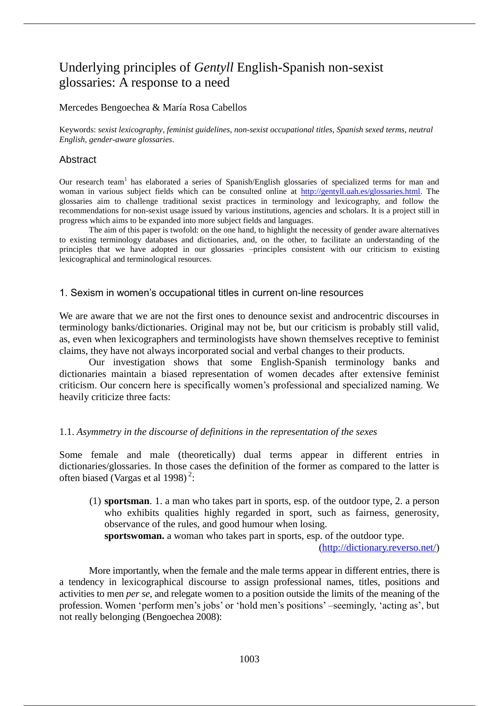# Underlying principles of *Gentyll* English-Spanish non-sexist glossaries: A response to a need

## Mercedes Bengoechea & María Rosa Cabellos

Keywords: *sexist lexicography*, *feminist guidelines*, *non-sexist occupational titles*, *Spanish sexed terms*, *neutral English*, *gender-aware glossaries*.

## Abstract

Our research team<sup>1</sup> has elaborated a series of Spanish/English glossaries of specialized terms for man and woman in various subject fields which can be consulted online at http://gentyll.uah.es/glossaries.html. The glossaries aim to challenge traditional sexist practices in terminology and lexicography, and follow the recommendations for non-sexist usage issued by various institutions, agencies and scholars. It is a project still in progress which aims to be expanded into more subject fields and languages.

The aim of this paper is twofold: on the one hand, to highlight the necessity of gender aware alternatives to existing terminology databases and dictionaries, and, on the other, to facilitate an understanding of the principles that we have adopted in our glossaries –principles consistent with our criticism to existing lexicographical and terminological resources.

### 1. Sexism in women's occupational titles in current on-line resources

We are aware that we are not the first ones to denounce sexist and androcentric discourses in terminology banks/dictionaries. Original may not be, but our criticism is probably still valid, as, even when lexicographers and terminologists have shown themselves receptive to feminist claims, they have not always incorporated social and verbal changes to their products.

Our investigation shows that some English-Spanish terminology banks and dictionaries maintain a biased representation of women decades after extensive feminist criticism. Our concern here is specifically women's professional and specialized naming. We heavily criticize three facts:

#### 1.1. *Asymmetry in the discourse of definitions in the representation of the sexes*

Some female and male (theoretically) dual terms appear in different entries in dictionaries/glossaries. In those cases the definition of the former as compared to the latter is often biased (Vargas et al 1998)<sup>2</sup>:

(1) **sportsman**. 1. a man who takes part in sports, esp. of the outdoor type, 2. a person who exhibits qualities highly regarded in sport, such as fairness, generosity, observance of the rules, and good humour when losing.

**sportswoman.** a woman who takes part in sports, esp. of the outdoor type.

(http://dictionary.reverso.net/)

More importantly, when the female and the male terms appear in different entries, there is a tendency in lexicographical discourse to assign professional names, titles, positions and activities to men *per se*, and relegate women to a position outside the limits of the meaning of the profession. Women 'perform men's jobs' or 'hold men's positions' –seemingly, 'acting as', but not really belonging (Bengoechea 2008):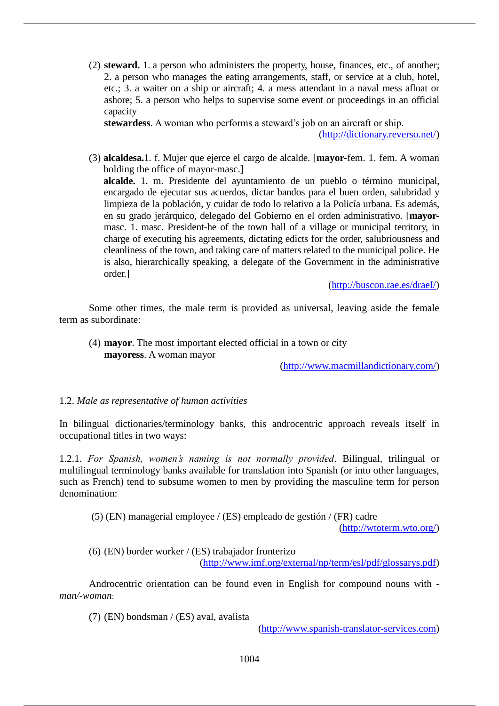(2) **steward.** 1. a person who administers the property, house, finances, etc., of another; 2. a person who manages the eating arrangements, staff, or service at a club, hotel, etc.; 3. a waiter on a ship or aircraft; 4. a mess attendant in a naval mess afloat or ashore; 5. a person who helps to supervise some event or proceedings in an official capacity

**stewardess**. A woman who performs a steward's job on an aircraft or ship.

(http://dictionary.reverso.net/)

(3) **alcaldesa.**1. f. Mujer que ejerce el cargo de alcalde. [**mayor-**fem. 1. fem. A woman holding the office of mayor-masc.] **alcalde.** 1. m. Presidente del ayuntamiento de un pueblo o término municipal, encargado de ejecutar sus acuerdos, dictar bandos para el buen orden, salubridad y limpieza de la población, y cuidar de todo lo relativo a la Policía urbana. Es además, en su grado jerárquico, delegado del Gobierno en el orden administrativo. [**mayor**masc. 1. masc. President-he of the town hall of a village or municipal territory, in charge of executing his agreements, dictating edicts for the order, salubriousness and cleanliness of the town, and taking care of matters related to the municipal police. He is also, hierarchically speaking, a delegate of the Government in the administrative order.]

(http://buscon.rae.es/draeI/)

Some other times, the male term is provided as universal, leaving aside the female term as subordinate:

(4) **mayor**. The most important elected official in a town or city **mayoress**. A woman mayor

(http://www.macmillandictionary.com/)

## 1.2. *Male as representative of human activities*

In bilingual dictionaries/terminology banks, this androcentric approach reveals itself in occupational titles in two ways:

1.2.1. *For Spanish, women's naming is not normally provided*. Bilingual, trilingual or multilingual terminology banks available for translation into Spanish (or into other languages, such as French) tend to subsume women to men by providing the masculine term for person denomination:

(5) (EN) managerial employee / (ES) empleado de gestión / (FR) cadre

(http://wtoterm.wto.org/)

(6) (EN) border worker / (ES) trabajador fronterizo

(http://www.imf.org/external/np/term/esl/pdf/glossarys.pdf)

Androcentric orientation can be found even in English for compound nouns with  *man/-woman*:

(7) (EN) bondsman / (ES) aval, avalista

(http://www.spanish-translator-services.com)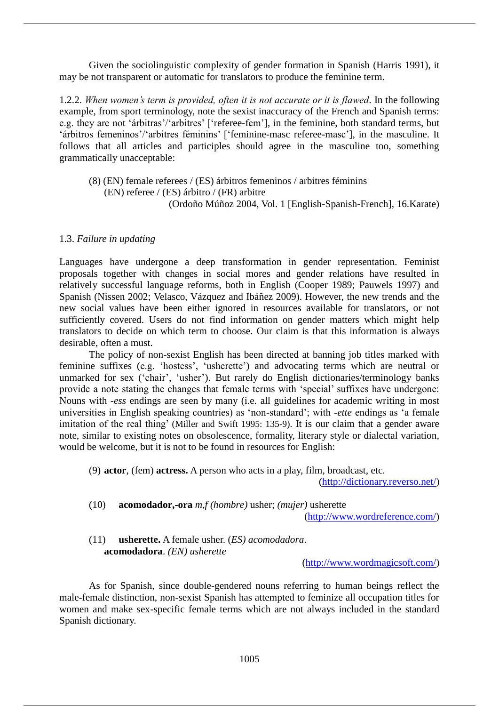Given the sociolinguistic complexity of gender formation in Spanish (Harris 1991), it may be not transparent or automatic for translators to produce the feminine term.

1.2.2. *When women's term is provided, often it is not accurate or it is flawed.* In the following example, from sport terminology, note the sexist inaccuracy of the French and Spanish terms: e.g. they are not 'árbitras'/'arbitres' ['referee-fem'], in the feminine, both standard terms, but 'árbitros femeninos'/'arbitres féminins' ['feminine-masc referee-masc'], in the masculine. It follows that all articles and participles should agree in the masculine too, something grammatically unacceptable:

(8) (EN) female referees / (ES) árbitros femeninos / arbitres féminins (EN) referee / (ES) árbitro / (FR) arbitre (Ordoño Múñoz 2004, Vol. 1 [English-Spanish-French], 16.Karate)

#### 1.3. *Failure in updating*

Languages have undergone a deep transformation in gender representation. Feminist proposals together with changes in social mores and gender relations have resulted in relatively successful language reforms, both in English (Cooper 1989; Pauwels 1997) and Spanish (Nissen 2002; Velasco, Vázquez and Ibáñez 2009). However, the new trends and the new social values have been either ignored in resources available for translators, or not sufficiently covered. Users do not find information on gender matters which might help translators to decide on which term to choose. Our claim is that this information is always desirable, often a must.

The policy of non-sexist English has been directed at banning job titles marked with feminine suffixes (e.g. 'hostess', 'usherette') and advocating terms which are neutral or unmarked for sex ('chair', 'usher'). But rarely do English dictionaries/terminology banks provide a note stating the changes that female terms with 'special' suffixes have undergone: Nouns with *-ess* endings are seen by many (i.e. all guidelines for academic writing in most universities in English speaking countries) as 'non-standard'; with *-ette* endings as 'a female imitation of the real thing' (Miller and Swift 1995: 135-9). It is our claim that a gender aware note, similar to existing notes on obsolescence, formality, literary style or dialectal variation, would be welcome, but it is not to be found in resources for English:

(9) **actor**, (fem) **actress.** A person who acts in a play, film, broadcast, etc.

(http://dictionary.reverso.net/)

(10) **acomodador,-ora** *m,f (hombre)* usher; *(mujer)* usherette

(http://www.wordreference.com/)

## (11) **usherette.** A female usher. (*ES) acomodadora*. **acomodadora**. *(EN) usherette*

(http://www.wordmagicsoft.com/)

As for Spanish, since double-gendered nouns referring to human beings reflect the male-female distinction, non-sexist Spanish has attempted to feminize all occupation titles for women and make sex-specific female terms which are not always included in the standard Spanish dictionary.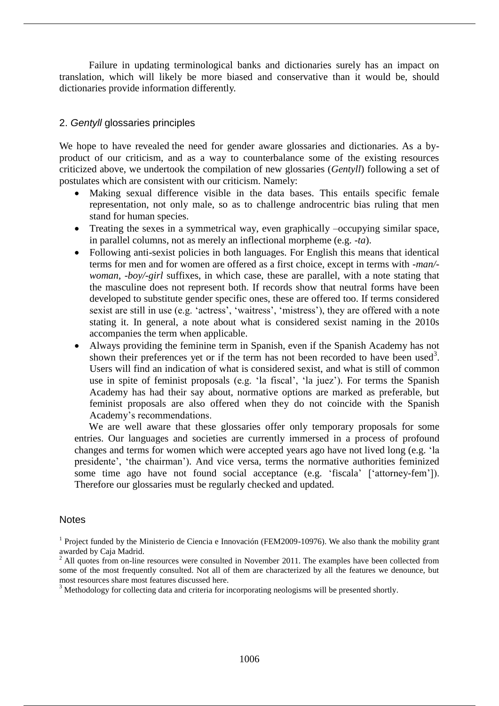Failure in updating terminological banks and dictionaries surely has an impact on translation, which will likely be more biased and conservative than it would be, should dictionaries provide information differently.

## 2. *Gentyll* glossaries principles

We hope to have revealed the need for gender aware glossaries and dictionaries. As a byproduct of our criticism, and as a way to counterbalance some of the existing resources criticized above, we undertook the compilation of new glossaries (*Gentyll*) following a set of postulates which are consistent with our criticism. Namely:

- Making sexual difference visible in the data bases. This entails specific female representation, not only male, so as to challenge androcentric bias ruling that men stand for human species.
- Treating the sexes in a symmetrical way, even graphically –occupying similar space, in parallel columns, not as merely an inflectional morpheme (e.g. *-ta*).
- Following anti-sexist policies in both languages. For English this means that identical terms for men and for women are offered as a first choice, except in terms with *-man/ woman*, *-boy/-girl* suffixes, in which case, these are parallel, with a note stating that the masculine does not represent both. If records show that neutral forms have been developed to substitute gender specific ones, these are offered too. If terms considered sexist are still in use (e.g. 'actress', 'waitress', 'mistress'), they are offered with a note stating it. In general, a note about what is considered sexist naming in the 2010s accompanies the term when applicable.
- Always providing the feminine term in Spanish, even if the Spanish Academy has not shown their preferences yet or if the term has not been recorded to have been used<sup>3</sup>. Users will find an indication of what is considered sexist, and what is still of common use in spite of feminist proposals (e.g. 'la fiscal', 'la juez'). For terms the Spanish Academy has had their say about, normative options are marked as preferable, but feminist proposals are also offered when they do not coincide with the Spanish Academy's recommendations.

We are well aware that these glossaries offer only temporary proposals for some entries. Our languages and societies are currently immersed in a process of profound changes and terms for women which were accepted years ago have not lived long (e.g. 'la presidente', 'the chairman'). And vice versa, terms the normative authorities feminized some time ago have not found social acceptance (e.g. 'fiscala' ['attorney-fem']). Therefore our glossaries must be regularly checked and updated.

#### **Notes**

<sup>&</sup>lt;sup>1</sup> Project funded by the Ministerio de Ciencia e Innovación (FEM2009-10976). We also thank the mobility grant awarded by Caja Madrid.

 $2$  All quotes from on-line resources were consulted in November 2011. The examples have been collected from some of the most frequently consulted. Not all of them are characterized by all the features we denounce, but most resources share most features discussed here.

<sup>&</sup>lt;sup>3</sup> Methodology for collecting data and criteria for incorporating neologisms will be presented shortly.